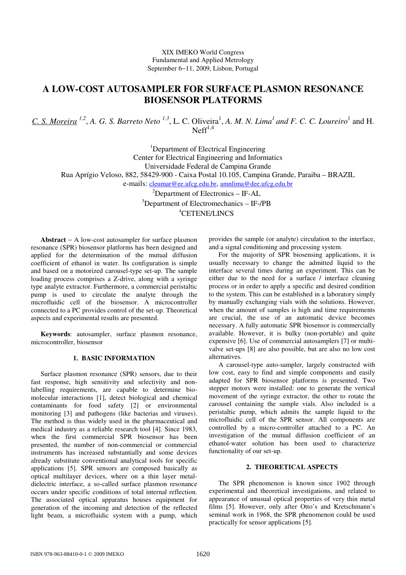XIX IMEKO World Congress Fundamental and Applied Metrology September 6−11, 2009, Lisbon, Portugal

# **A LOW-COST AUTOSAMPLER FOR SURFACE PLASMON RESONANCE BIOSENSOR PLATFORMS**

C. S. Moreira <sup>1,2</sup>, A. G. S. Barreto Neto <sup>1,3</sup>, L. C. Oliveira<sup>1</sup>, A. M. N. Lima<sup>1</sup> and F. C. C. Loureiro<sup>1</sup> and H.  $N<sup>1,4</sup>$ 

<sup>1</sup>Department of Electrical Engineering Center for Electrical Engineering and Informatics Universidade Federal de Campina Grande Rua Aprígio Veloso, 882, 58429-900 - Caixa Postal 10.105, Campina Grande, Paraiba – BRAZIL e-mails: cleumar@ee.ufcg.edu.br, amnlima@dee.ufcg.edu.br

> ${}^{2}$ Department of Electronics – IF-AL <sup>3</sup>Department of Electromechanics – IF-/PB <sup>4</sup>CETENE/LINCS

**Abstract** − A low-cost autosampler for surface plasmon resonance (SPR) biosensor platforms has been designed and applied for the determination of the mutual diffusion coefficient of ethanol in water. Its configuration is simple and based on a motorized carousel-type set-up. The sample loading process comprises a Z-drive, along with a syringe type analyte extractor. Furthermore, a commercial peristaltic pump is used to circulate the analyte through the microfluidic cell of the biosensor. A microcontroller connected to a PC provides control of the set-up. Theoretical aspects and experimental results are presented.

**Keywords**: autosampler, surface plasmon resonance, microcontroller, biosensor

# **1. BASIC INFORMATION**

Surface plasmon resonance (SPR) sensors, due to their fast response, high sensitivity and selectivity and nonlabelling requirements, are capable to determine biomolecular interactions [1], detect biological and chemical contaminants for food safety [2] or environmental monitoring [3] and pathogens (like bacterias and viruses). The method is thus widely used in the pharmaceutical and medical industry as a reliable research tool [4]. Since 1983, when the first commercial SPR biosensor has been presented, the number of non-commercial or commercial instruments has increased substantially and some devices already substitute conventional analytical tools for specific applications [5]. SPR sensors are composed basically as optical multilayer devices, where on a thin layer metaldielectric interface, a so-called surface plasmon resonance occurs under specific conditions of total internal reflection. The associated optical apparatus houses equipment for generation of the incoming and detection of the reflected light beam, a microfluidic system with a pump, which

provides the sample (or analyte) circulation to the interface, and a signal conditioning and processing system.

For the majority of SPR biosensing applications, it is usually necessary to change the admitted liquid to the interface several times during an experiment. This can be either due to the need for a surface / interface cleaning process or in order to apply a specific and desired condition to the system. This can be established in a laboratory simply by manually exchanging vials with the solutions. However, when the amount of samples is high and time requirements are crucial, the use of an automatic device becomes necessary. A fully automatic SPR biosensor is commercially available. However, it is bulky (non-portable) and quite expensive [6]. Use of commercial autosamplers [7] or multivalve set-ups [8] are also possible, but are also no low cost alternatives.

A carousel-type auto-sampler, largely constructed with low cost, easy to find and simple components and easily adapted for SPR biosensor platforms is presented. Two stepper motors were installed: one to generate the vertical movement of the syringe extractor, the other to rotate the carousel containing the sample vials. Also included is a peristaltic pump, which admits the sample liquid to the microfluidic cell of the SPR sensor. All components are controlled by a micro-controller attached to a PC. An investigation of the mutual diffusion coefficient of an ethanol-water solution has been used to characterize functionality of our set-up.

# **2. THEORETICAL ASPECTS**

The SPR phenomenon is known since 1902 through experimental and theoretical investigations, and related to appearance of unusual optical properties of very thin metal films [5]. However, only after Otto's and Kretschmann's seminal work in 1968, the SPR phenomenon could be used practically for sensor applications [5].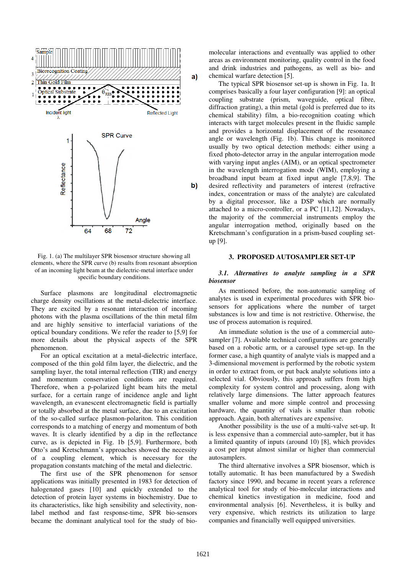

## Fig. 1. (a) The multilayer SPR biosensor structure showing all elements, where the SPR curve (b) results from resonant absorption of an incoming light beam at the dielectric-metal interface under specific boundary conditions.

Surface plasmons are longitudinal electromagnetic charge density oscillations at the metal-dielectric interface. They are excited by a resonant interaction of incoming photons with the plasma oscillations of the thin metal film and are highly sensitive to interfacial variations of the optical boundary conditions. We refer the reader to [5,9] for more details about the physical aspects of the SPR phenomenon.

For an optical excitation at a metal-dielectric interface, composed of the thin gold film layer, the dielectric, and the sampling layer, the total internal reflection (TIR) and energy and momentum conservation conditions are required. Therefore, when a p-polarized light beam hits the metal surface, for a certain range of incidence angle and light wavelength, an evanescent electromagnetic field is partially or totally absorbed at the metal surface, due to an excitation of the so-called surface plasmon-polariton. This condition corresponds to a matching of energy and momentum of both waves. It is clearly identified by a dip in the reflectance curve, as is depicted in Fig. 1b [5,9]. Furthermore, both Otto's and Kretschmann's approaches showed the necessity of a coupling element, which is necessary for the propagation constants matching of the metal and dielectric.

The first use of the SPR phenomenon for sensor applications was initially presented in 1983 for detection of halogenated gases [10] and quickly extended to the detection of protein layer systems in biochemistry. Due to its characteristics, like high sensibility and selectivity, nonlabel method and fast response-time, SPR bio-sensors became the dominant analytical tool for the study of biomolecular interactions and eventually was applied to other areas as environment monitoring, quality control in the food and drink industries and pathogens, as well as bio- and chemical warfare detection [5].

The typical SPR biosensor set-up is shown in Fig. 1a. It comprises basically a four layer configuration [9]: an optical coupling substrate (prism, waveguide, optical fibre, diffraction grating), a thin metal (gold is preferred due to its chemical stability) film, a bio-recognition coating which interacts with target molecules present in the fluidic sample and provides a horizontal displacement of the resonance angle or wavelength (Fig. 1b). This change is monitored usually by two optical detection methods: either using a fixed photo-detector array in the angular interrogation mode with varying input angles (AIM), or an optical spectrometer in the wavelength interrogation mode (WIM), employing a broadband input beam at fixed input angle [7,8,9]. The desired reflectivity and parameters of interest (refractive index, concentration or mass of the analyte) are calculated by a digital processor, like a DSP which are normally attached to a micro-controller, or a PC [11,12]. Nowadays, the majority of the commercial instruments employ the angular interrogation method, originally based on the Kretschmann's configuration in a prism-based coupling setup [9].

## **3. PROPOSED AUTOSAMPLER SET-UP**

## *3.1. Alternatives to analyte sampling in a SPR biosensor*

As mentioned before, the non-automatic sampling of analytes is used in experimental procedures with SPR biosensors for applications where the number of target substances is low and time is not restrictive. Otherwise, the use of process automation is required.

An immediate solution is the use of a commercial autosampler [7]. Available technical configurations are generally based on a robotic arm, or a carousel type set-up. In the former case, a high quantity of analyte vials is mapped and a 3-dimensional movement is performed by the robotic system in order to extract from, or put back analyte solutions into a selected vial. Obviously, this approach suffers from high complexity for system control and processing, along with relatively large dimensions. The latter approach features smaller volume and more simple control and processing hardware, the quantity of vials is smaller than robotic approach. Again, both alternatives are expensive.

Another possibility is the use of a multi-valve set-up. It is less expensive than a commercial auto-sampler, but it has a limited quantity of inputs (around 10) [8], which provides a cost per input almost similar or higher than commercial autosamplers.

The third alternative involves a SPR biosensor, which is totally automatic. It has been manufactured by a Swedish factory since 1990, and became in recent years a reference analytical tool for study of bio-molecular interactions and chemical kinetics investigation in medicine, food and environmental analysis [6]. Nevertheless, it is bulky and very expensive, which restricts its utilization to large companies and financially well equipped universities.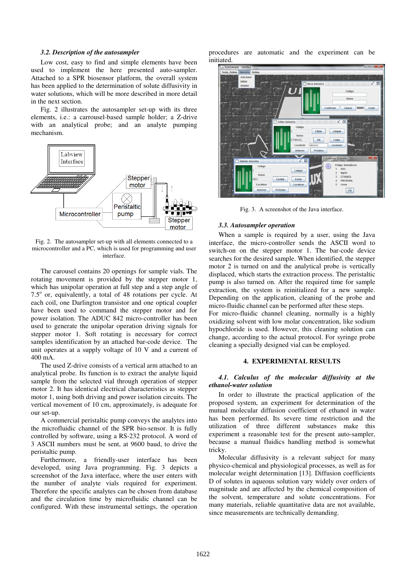#### *3.2. Description of the autosampler*

Low cost, easy to find and simple elements have been used to implement the here presented auto-sampler. Attached to a SPR biosensor platform, the overall system has been applied to the determination of solute diffusivity in water solutions, which will be more described in more detail in the next section.

Fig. 2 illustrates the autosampler set-up with its three elements, i.e.: a carrousel-based sample holder; a Z-drive with an analytical probe; and an analyte pumping mechanism.



Fig. 2. The autosampler set-up with all elements connected to a microcontroller and a PC, which is used for programming and user interface.

The carousel contains 20 openings for sample vials. The rotating movement is provided by the stepper motor 1, which has unipolar operation at full step and a step angle of 7.5° or, equivalently, a total of 48 rotations per cycle. At each coil, one Darlington transistor and one optical coupler have been used to command the stepper motor and for power isolation. The ADUC 842 micro-controller has been used to generate the unipolar operation driving signals for stepper motor 1. Soft rotating is necessary for correct samples identification by an attached bar-code device. The unit operates at a supply voltage of 10 V and a current of 400 mA.

The used Z-drive consists of a vertical arm attached to an analytical probe. Its function is to extract the analyte liquid sample from the selected vial through operation of stepper motor 2. It has identical electrical characteristics as stepper motor 1, using both driving and power isolation circuits. The vertical movement of 10 cm, approximately, is adequate for our set-up.

A commercial peristaltic pump conveys the analytes into the microfluidic channel of the SPR bio-sensor. It is fully controlled by software, using a RS-232 protocol. A word of 3 ASCII numbers must be sent, at 9600 baud, to drive the peristaltic pump.

Furthermore, a friendly-user interface has been developed, using Java programming. Fig. 3 depicts a screenshot of the Java interface, where the user enters with the number of analyte vials required for experiment. Therefore the specific analytes can be chosen from database and the circulation time by microfluidic channel can be configured. With these instrumental settings, the operation procedures are automatic and the experiment can be initiated.



Fig. 3. A screenshot of the Java interface.

#### *3.3. Autosampler operation*

When a sample is required by a user, using the Java interface, the micro-controller sends the ASCII word to switch-on on the stepper motor 1. The bar-code device searches for the desired sample. When identified, the stepper motor 2 is turned on and the analytical probe is vertically displaced, which starts the extraction process. The peristaltic pump is also turned on. After the required time for sample extraction, the system is reinitialized for a new sample. Depending on the application, cleaning of the probe and micro-fluidic channel can be performed after these steps.

For micro-fluidic channel cleaning, normally is a highly oxidizing solvent with low molar concentration, like sodium hypochloride is used. However, this cleaning solution can change, according to the actual protocol. For syringe probe cleaning a specially designed vial can be employed.

#### **4. EXPERIMENTAL RESULTS**

# *4.1. Calculus of the molecular diffusivity at the ethanol-water solution*

In order to illustrate the practical application of the proposed system, an experiment for determination of the mutual molecular diffusion coefficient of ethanol in water has been performed. Its severe time restriction and the utilization of three different substances make this experiment a reasonable test for the present auto-sampler, because a manual fluidics handling method is somewhat tricky.

Molecular diffusivity is a relevant subject for many physico-chemical and physiological processes, as well as for molecular weight determination [13]. Diffusion coefficients D of solutes in aqueous solution vary widely over orders of magnitude and are affected by the chemical composition of the solvent, temperature and solute concentrations. For many materials, reliable quantitative data are not available, since measurements are technically demanding.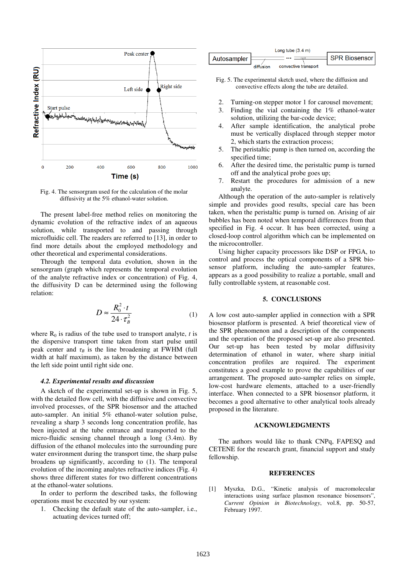

Fig. 4. The sensorgram used for the calculation of the molar diffusivity at the 5% ethanol-water solution.

The present label-free method relies on monitoring the dynamic evolution of the refractive index of an aqueous solution, while transported to and passing through microfluidic cell. The readers are referred to [13], in order to find more details about the employed methodology and other theoretical and experimental considerations.

Through the temporal data evolution, shown in the sensorgram (graph which represents the temporal evolution of the analyte refractive index or concentration) of Fig. 4, the diffusivity D can be determined using the following relation:

$$
D \approx \frac{R_0^2 \cdot t}{24 \cdot \tau_B^2} \tag{1}
$$

where  $R_0$  is radius of the tube used to transport analyte, *t* is the dispersive transport time taken from start pulse until peak center and  $\tau_B$  is the line broadening at FWHM (full width at half maximum), as taken by the distance between the left side point until right side one.

#### *4.2. Experimental results and discussion*

A sketch of the experimental set-up is shown in Fig. 5, with the detailed flow cell, with the diffusive and convective involved processes, of the SPR biosensor and the attached auto-sampler. An initial 5% ethanol-water solution pulse, revealing a sharp 3 seconds long concentration profile, has been injected at the tube entrance and transported to the micro-fluidic sensing channel through a long (3.4m). By diffusion of the ethanol molecules into the surrounding pure water environment during the transport time, the sharp pulse broadens up significantly, according to (1). The temporal evolution of the incoming analytes refractive indices (Fig. 4) shows three different states for two different concentrations at the ethanol-water solutions.

In order to perform the described tasks, the following operations must be executed by our system:

1. Checking the default state of the auto-sampler, i.e., actuating devices turned off;

| Long tube $(3.4 \text{ m})$ |           |                      |                      |
|-----------------------------|-----------|----------------------|----------------------|
| <b>Autosampler</b>          |           |                      | <b>SPR Biosensor</b> |
|                             | diffusion | convective transport |                      |

- Fig. 5. The experimental sketch used, where the diffusion and convective effects along the tube are detailed.
- 2. Turning-on stepper motor 1 for carousel movement;
- 3. Finding the vial containing the 1% ethanol-water solution, utilizing the bar-code device;
- 4. After sample identification, the analytical probe must be vertically displaced through stepper motor 2, which starts the extraction process;
- 5. The peristaltic pump is then turned on, according the specified time;
- 6. After the desired time, the peristaltic pump is turned off and the analytical probe goes up;
- 7. Restart the procedures for admission of a new analyte.

Although the operation of the auto-sampler is relatively simple and provides good results, special care has been taken, when the peristaltic pump is turned on. Arising of air bubbles has been noted when temporal differences from that specified in Fig. 4 occur. It has been corrected, using a closed-loop control algorithm which can be implemented on the microcontroller.

Using higher capacity processors like DSP or FPGA, to control and process the optical components of a SPR biosensor platform, including the auto-sampler features, appears as a good possibility to realize a portable, small and fully controllable system, at reasonable cost.

#### **5. CONCLUSIONS**

A low cost auto-sampler applied in connection with a SPR biosensor platform is presented. A brief theoretical view of the SPR phenomenon and a description of the components and the operation of the proposed set-up are also presented. Our set-up has been tested by molar diffusivity determination of ethanol in water, where sharp initial concentration profiles are required. The experiment constitutes a good example to prove the capabilities of our arrangement. The proposed auto-sampler relies on simple, low-cost hardware elements, attached to a user-friendly interface. When connected to a SPR biosensor platform, it becomes a good alternative to other analytical tools already proposed in the literature.

## **ACKNOWLEDGMENTS**

The authors would like to thank CNPq, FAPESQ and CETENE for the research grant, financial support and study fellowship.

## **REFERENCES**

[1] Myszka, D.G., "Kinetic analysis of macromolecular interactions using surface plasmon resonance biosensors", *Current Opinion in Biotechnology*, vol.8, pp. 50-57, February 1997.